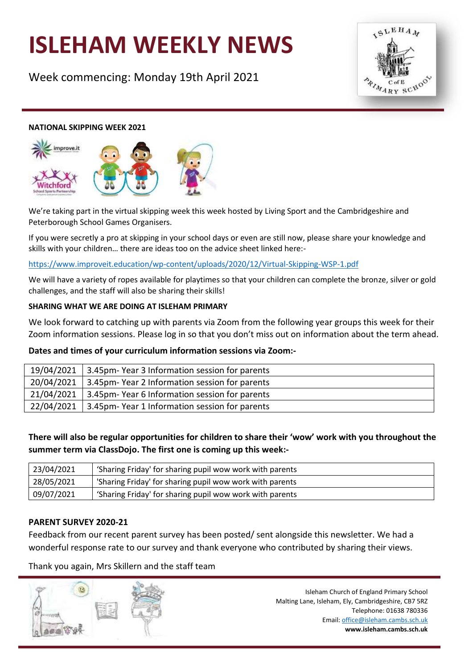# **ISLEHAM WEEKLY NEWS**

Week commencing: Monday 19th April 2021



#### **NATIONAL SKIPPING WEEK 2021**



We're taking part in the virtual skipping week this week hosted by Living Sport and the Cambridgeshire and Peterborough School Games Organisers.

If you were secretly a pro at skipping in your school days or even are still now, please share your knowledge and skills with your children… there are ideas too on the advice sheet linked here:-

<https://www.improveit.education/wp-content/uploads/2020/12/Virtual-Skipping-WSP-1.pdf>

We will have a variety of ropes available for playtimes so that your children can complete the bronze, silver or gold challenges, and the staff will also be sharing their skills!

### **SHARING WHAT WE ARE DOING AT ISLEHAM PRIMARY**

We look forward to catching up with parents via Zoom from the following year groups this week for their Zoom information sessions. Please log in so that you don't miss out on information about the term ahead.

#### **Dates and times of your curriculum information sessions via Zoom:-**

| 19/04/2021 3.45pm-Year 3 Information session for parents |
|----------------------------------------------------------|
| 20/04/2021 3.45pm-Year 2 Information session for parents |
| 21/04/2021 3.45pm-Year 6 Information session for parents |
| 22/04/2021 3.45pm-Year 1 Information session for parents |

**There will also be regular opportunities for children to share their 'wow' work with you throughout the summer term via ClassDojo. The first one is coming up this week:-**

| 23/04/2021 | 'Sharing Friday' for sharing pupil wow work with parents |
|------------|----------------------------------------------------------|
| 28/05/2021 | 'Sharing Friday' for sharing pupil wow work with parents |
| 09/07/2021 | 'Sharing Friday' for sharing pupil wow work with parents |

#### **PARENT SURVEY 2020-21**

Feedback from our recent parent survey has been posted/ sent alongside this newsletter. We had a wonderful response rate to our survey and thank everyone who contributed by sharing their views.

Thank you again, Mrs Skillern and the staff team

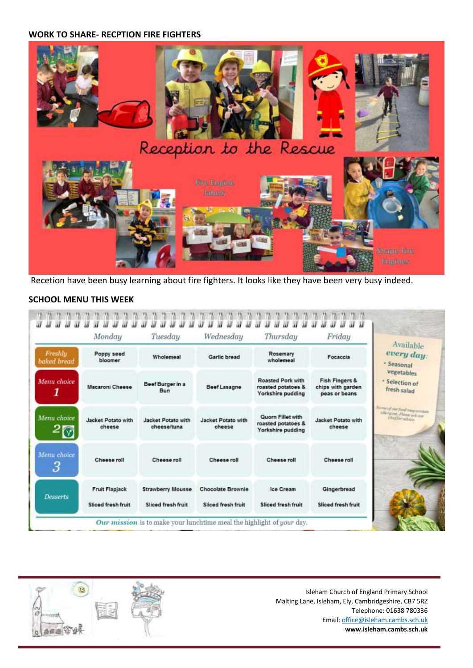#### **WORK TO SHARE- RECPTION FIRE FIGHTERS**



Recetion have been busy learning about fire fighters. It looks like they have been very busy indeed.

## **SCHOOL MENU THIS WEEK**

|                        | Monday                       | Tuesday                           | Wednesday                    | Thursday                                                            | Friday                                                          | Available                                                                                                                                                                               |
|------------------------|------------------------------|-----------------------------------|------------------------------|---------------------------------------------------------------------|-----------------------------------------------------------------|-----------------------------------------------------------------------------------------------------------------------------------------------------------------------------------------|
| Freshly<br>baked bread | Poppy seed<br>bloomer        | Wholemeal                         | <b>Garlie bread</b>          | Rosemary<br>wholemeal                                               | Focaccia                                                        | every day:<br>· Seasonal                                                                                                                                                                |
| Menu choice            | <b>Macaroni Cheese</b>       | Beef Burger in a<br><b>Bun</b>    | <b>Beef Lasagne</b>          | <b>Roasted Pork with</b><br>roasted potatoes &<br>Yorkshire pudding | <b>Fish Fingers &amp;</b><br>chips with garden<br>peas or beans | vegetables<br>· Selection of<br>fresh salad                                                                                                                                             |
| Menu choice            | Jacket Potato with<br>cheese | Jacket Potato with<br>cheese/tuna | Jacket Potato with<br>cheese | Quorn Fillet with<br>roasted potatoes &<br>Yorkshire pudding        | <b>Jacket Potato with</b><br>cheese                             | $\begin{array}{c} \mathcal{S} = \mathit{conv\_of\_out\_function} \\ \mathit{else\_type\_P} \mathit{le} \mathit{true\_out\_out\_in} \\ \mathit{else\_type\_in\_in\_out\_in} \end{array}$ |
| Menu choice<br>3       | Cheese roll                  | Cheese roll                       | Cheese roll                  | Cheese roll                                                         | Cheese roll                                                     |                                                                                                                                                                                         |
| <b>Desserts</b>        | <b>Fruit Flapjack</b>        | <b>Strawberry Mousse</b>          | Chocolate Brownie            | Ice Cream                                                           | Gingerbread                                                     |                                                                                                                                                                                         |
|                        | Sliced fresh fruit           | Sliced fresh fruit                | Sliced fresh fruit           | Sliced fresh fruit                                                  | Sliced fresh fruit                                              |                                                                                                                                                                                         |

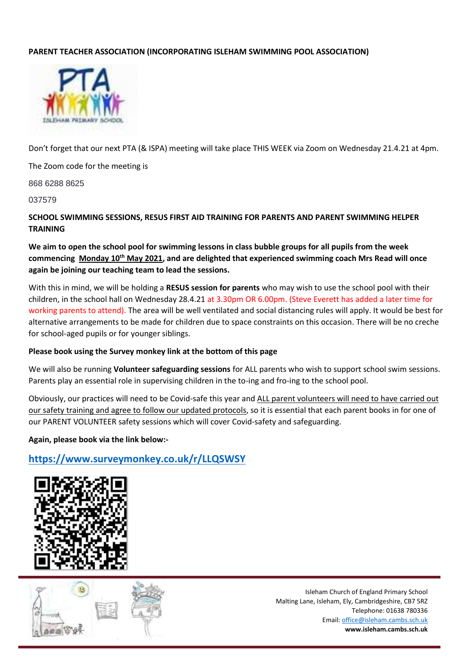## **PARENT TEACHER ASSOCIATION (INCORPORATING ISLEHAM SWIMMING POOL ASSOCIATION)**



Don't forget that our next PTA (& ISPA) meeting will take place THIS WEEK via Zoom on Wednesday 21.4.21 at 4pm.

The Zoom code for the meeting is

868 6288 8625

037579

**SCHOOL SWIMMING SESSIONS, RESUS FIRST AID TRAINING FOR PARENTS AND PARENT SWIMMING HELPER TRAINING**

**We aim to open the school pool for swimming lessons in class bubble groups for all pupils from the week commencing Monday 10th May 2021, and are delighted that experienced swimming coach Mrs Read will once again be joining our teaching team to lead the sessions.**

With this in mind, we will be holding a **RESUS session for parents** who may wish to use the school pool with their children, in the school hall on Wednesday 28.4.21 at 3.30pm OR 6.00pm. (Steve Everett has added a later time for working parents to attend). The area will be well ventilated and social distancing rules will apply. It would be best for alternative arrangements to be made for children due to space constraints on this occasion. There will be no creche for school-aged pupils or for younger siblings.

#### **Please book using the Survey monkey link at the bottom of this page**

We will also be running **Volunteer safeguarding sessions** for ALL parents who wish to support school swim sessions. Parents play an essential role in supervising children in the to-ing and fro-ing to the school pool.

Obviously, our practices will need to be Covid-safe this year and ALL parent volunteers will need to have carried out our safety training and agree to follow our updated protocols, so it is essential that each parent books in for one of our PARENT VOLUNTEER safety sessions which will cover Covid-safety and safeguarding.

#### **Again, please book via the link below:-**

# **<https://www.surveymonkey.co.uk/r/LLQSWSY>**



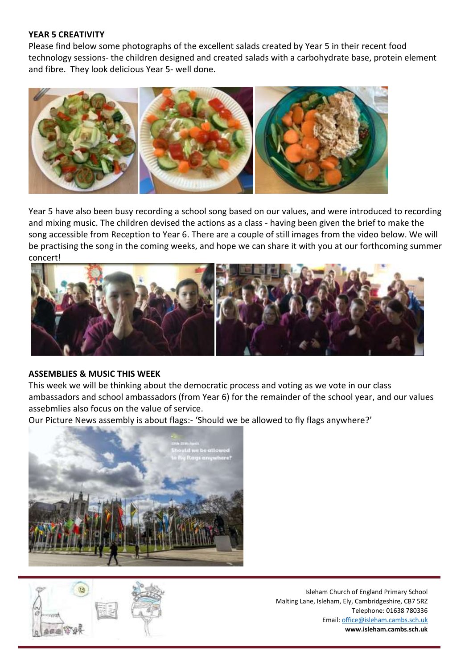#### **YEAR 5 CREATIVITY**

Please find below some photographs of the excellent salads created by Year 5 in their recent food technology sessions- the children designed and created salads with a carbohydrate base, protein element and fibre. They look delicious Year 5- well done.



Year 5 have also been busy recording a school song based on our values, and were introduced to recording and mixing music. The children devised the actions as a class - having been given the brief to make the song accessible from Reception to Year 6. There are a couple of still images from the video below. We will be practising the song in the coming weeks, and hope we can share it with you at our forthcoming summer concert!



## **ASSEMBLIES & MUSIC THIS WEEK**

This week we will be thinking about the democratic process and voting as we vote in our class ambassadors and school ambassadors (from Year 6) for the remainder of the school year, and our values assebmlies also focus on the value of service.

Our Picture News assembly is about flags:- 'Should we be allowed to fly flags anywhere?'



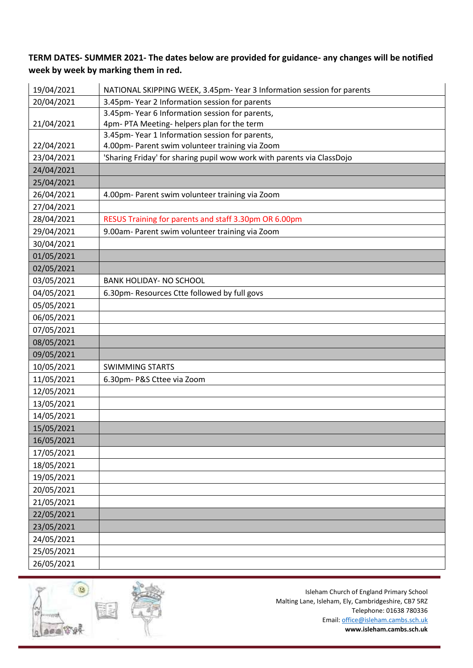# **TERM DATES- SUMMER 2021- The dates below are provided for guidance- any changes will be notified week by week by marking them in red.**

| 19/04/2021 | NATIONAL SKIPPING WEEK, 3.45pm- Year 3 Information session for parents |
|------------|------------------------------------------------------------------------|
| 20/04/2021 | 3.45pm-Year 2 Information session for parents                          |
|            | 3.45pm-Year 6 Information session for parents,                         |
| 21/04/2021 | 4pm-PTA Meeting-helpers plan for the term                              |
|            | 3.45pm-Year 1 Information session for parents,                         |
| 22/04/2021 | 4.00pm- Parent swim volunteer training via Zoom                        |
| 23/04/2021 | 'Sharing Friday' for sharing pupil wow work with parents via ClassDojo |
| 24/04/2021 |                                                                        |
| 25/04/2021 |                                                                        |
| 26/04/2021 | 4.00pm- Parent swim volunteer training via Zoom                        |
| 27/04/2021 |                                                                        |
| 28/04/2021 | RESUS Training for parents and staff 3.30pm OR 6.00pm                  |
| 29/04/2021 | 9.00am- Parent swim volunteer training via Zoom                        |
| 30/04/2021 |                                                                        |
| 01/05/2021 |                                                                        |
| 02/05/2021 |                                                                        |
| 03/05/2021 | <b>BANK HOLIDAY- NO SCHOOL</b>                                         |
| 04/05/2021 | 6.30pm-Resources Ctte followed by full govs                            |
| 05/05/2021 |                                                                        |
| 06/05/2021 |                                                                        |
| 07/05/2021 |                                                                        |
| 08/05/2021 |                                                                        |
| 09/05/2021 |                                                                        |
| 10/05/2021 | <b>SWIMMING STARTS</b>                                                 |
| 11/05/2021 | 6.30pm- P&S Cttee via Zoom                                             |
| 12/05/2021 |                                                                        |
| 13/05/2021 |                                                                        |
| 14/05/2021 |                                                                        |
| 15/05/2021 |                                                                        |
| 16/05/2021 |                                                                        |
| 17/05/2021 |                                                                        |
| 18/05/2021 |                                                                        |
| 19/05/2021 |                                                                        |
| 20/05/2021 |                                                                        |
| 21/05/2021 |                                                                        |
| 22/05/2021 |                                                                        |
| 23/05/2021 |                                                                        |
| 24/05/2021 |                                                                        |
| 25/05/2021 |                                                                        |
| 26/05/2021 |                                                                        |

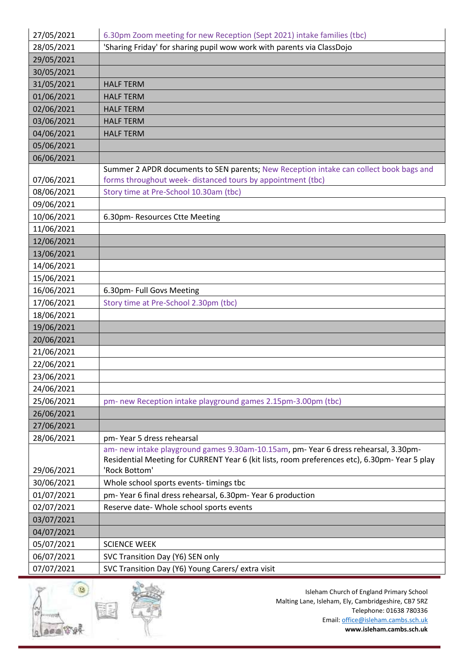| 27/05/2021 | 6.30pm Zoom meeting for new Reception (Sept 2021) intake families (tbc)                                                                                                             |
|------------|-------------------------------------------------------------------------------------------------------------------------------------------------------------------------------------|
| 28/05/2021 | 'Sharing Friday' for sharing pupil wow work with parents via ClassDojo                                                                                                              |
| 29/05/2021 |                                                                                                                                                                                     |
| 30/05/2021 |                                                                                                                                                                                     |
| 31/05/2021 | <b>HALF TERM</b>                                                                                                                                                                    |
| 01/06/2021 | <b>HALF TERM</b>                                                                                                                                                                    |
| 02/06/2021 | <b>HALF TERM</b>                                                                                                                                                                    |
| 03/06/2021 | <b>HALF TERM</b>                                                                                                                                                                    |
| 04/06/2021 | <b>HALF TERM</b>                                                                                                                                                                    |
| 05/06/2021 |                                                                                                                                                                                     |
| 06/06/2021 |                                                                                                                                                                                     |
| 07/06/2021 | Summer 2 APDR documents to SEN parents; New Reception intake can collect book bags and<br>forms throughout week- distanced tours by appointment (tbc)                               |
| 08/06/2021 | Story time at Pre-School 10.30am (tbc)                                                                                                                                              |
| 09/06/2021 |                                                                                                                                                                                     |
| 10/06/2021 | 6.30pm-Resources Ctte Meeting                                                                                                                                                       |
| 11/06/2021 |                                                                                                                                                                                     |
| 12/06/2021 |                                                                                                                                                                                     |
| 13/06/2021 |                                                                                                                                                                                     |
| 14/06/2021 |                                                                                                                                                                                     |
| 15/06/2021 |                                                                                                                                                                                     |
| 16/06/2021 | 6.30pm- Full Govs Meeting                                                                                                                                                           |
| 17/06/2021 | Story time at Pre-School 2.30pm (tbc)                                                                                                                                               |
| 18/06/2021 |                                                                                                                                                                                     |
| 19/06/2021 |                                                                                                                                                                                     |
| 20/06/2021 |                                                                                                                                                                                     |
| 21/06/2021 |                                                                                                                                                                                     |
| 22/06/2021 |                                                                                                                                                                                     |
| 23/06/2021 |                                                                                                                                                                                     |
| 24/06/2021 |                                                                                                                                                                                     |
| 25/06/2021 | pm- new Reception intake playground games 2.15pm-3.00pm (tbc)                                                                                                                       |
| 26/06/2021 |                                                                                                                                                                                     |
| 27/06/2021 |                                                                                                                                                                                     |
| 28/06/2021 | pm-Year 5 dress rehearsal                                                                                                                                                           |
|            | am- new intake playground games 9.30am-10.15am, pm- Year 6 dress rehearsal, 3.30pm-<br>Residential Meeting for CURRENT Year 6 (kit lists, room preferences etc), 6.30pm-Year 5 play |
| 29/06/2021 | 'Rock Bottom'                                                                                                                                                                       |
| 30/06/2021 | Whole school sports events-timings tbc                                                                                                                                              |
| 01/07/2021 | pm-Year 6 final dress rehearsal, 6.30pm-Year 6 production                                                                                                                           |
| 02/07/2021 | Reserve date- Whole school sports events                                                                                                                                            |
| 03/07/2021 |                                                                                                                                                                                     |
| 04/07/2021 |                                                                                                                                                                                     |
| 05/07/2021 | <b>SCIENCE WEEK</b>                                                                                                                                                                 |
| 06/07/2021 | SVC Transition Day (Y6) SEN only                                                                                                                                                    |
| 07/07/2021 | SVC Transition Day (Y6) Young Carers/ extra visit                                                                                                                                   |